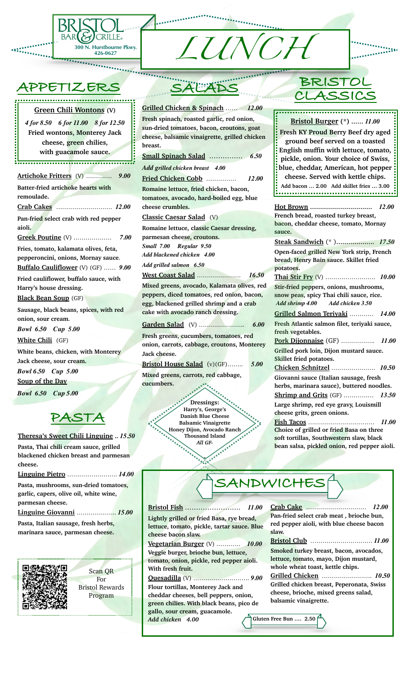

# **APPETIZERS**

**Green Chili Wontons (V)**

*4 for 8.50 6 for 11.00 8 for 12.50* **Fried wontons, Monterey Jack cheese, green chilies, with guacamole sauce.** 

**Artichoke Fritters** (V) ………….*9.00* **Batter-fried artichoke hearts with** 

**remoulade. Crab Cakes** ………………………. *12.00* **Pan-fried select crab with red pepper aioli.**

**Greek Poutine** (V) ………………. *7.00*

**Fries, tomato, kalamata olives, feta, pepperoncini, onions, Mornay sauce**. **Buffalo Cauliflower** (V) (GF) …… *9.00*

**Fried cauliflower, buffalo sauce, with Harry's house dressing.** 

**Black Bean Soup** (GF)

**Sausage, black beans, spices, with red onion, sour cream.**

*Bowl 6.50 Cup 5.00*

**White Chili** (GF)

**White beans, chicken, with Monterey Jack cheese, sour cream.** *Bowl 6.50 Cup 5.00* **Soup of the Day**

*Bowl 6.50 Cup 5.00*

# **PASTA**

**Theresa's Sweet Chili Linguine ..** *15.50* **Pasta, Thai chili cream sauce, grilled blackened chicken breast and parmesan cheese.**

**Linguine Pietro** ……………………. *14.00* **Pasta, mushrooms, sun-dried tomatoes, garlic, capers, olive oil, white wine, parmesan cheese.**

**Linguine Giovanni** ……………….. *15.00*

**Pasta, Italian sausage, fresh herbs, marinara sauce, parmesan cheese.**



Scan QR For Bristol Rewards Program

# **SALADS**

*<u>PERSONAL COMPANY</u>* 

**Grilled Chicken & Spinach** …… *12.00* **Fresh spinach, roasted garlic, red onion, sun-dried tomatoes, bacon, croutons, goat cheese, balsamic vinaigrette, grilled chicken breast. Small Spinach Salad** …………… *6.50 Add grilled chicken breast 4.00*  **Fried Chicken Cobb** …………… *12.00* **Romaine lettuce, fried chicken, bacon, tomatoes, avocado, hard-boiled egg, blue cheese crumbles. Classic Caesar Salad** (V) **Romaine lettuce, classic Caesar dressing, parmesan cheese, croutons.** *Small 7.00 Regular 9.50 Add blackened chicken 4.00 Add grilled salmon 6.50* **West Coast Salad** …………………. *16.50*

**Mixed greens, avocado, Kalamata olives, red peppers, diced tomatoes, red onion, bacon, egg, blackened grilled shrimp and a crab cake with avocado ranch dressing.** 

#### **Garden Salad** (V) ………………….. *6.00*

**Fresh greens, cucumbers, tomatoes, red onion, carrots, cabbage, croutons, Monterey Jack cheese.** 

**Bristol House Salad** (v)(GF)…….. *5.00* **Mixed greens, carrots, red cabbage, cucumbers.**

> **Dressings: Harry's, George's Danish Blue Cheese Balsamic Vinaigrette Honey Dijon, Avocado Ranch Thousand Island** *All GF-*

> > *-*

## **BRISTOL CLASSICS**

| <b>Bristol Burger</b> (*)  11.00                                                                                                                                                                                                                                             |  |  |
|------------------------------------------------------------------------------------------------------------------------------------------------------------------------------------------------------------------------------------------------------------------------------|--|--|
| Fresh KY Proud Berry Beef dry aged<br>ground beef served on a toasted<br>English muffin with lettuce, tomato,<br>pickle, onion. Your choice of Swiss,<br>blue, cheddar, American, hot pepper<br>cheese. Served with kettle chips.<br>Add bacon  2.00 Add skillet fries  3.00 |  |  |
| Hot Brown<br><i>12.00</i>                                                                                                                                                                                                                                                    |  |  |
| French bread, roasted turkey breast,                                                                                                                                                                                                                                         |  |  |
| bacon, cheddar cheese, tomato, Mornay                                                                                                                                                                                                                                        |  |  |
| sauce.                                                                                                                                                                                                                                                                       |  |  |
| Steak Sandwich (* ) 17.50                                                                                                                                                                                                                                                    |  |  |
| Open-faced grilled New York strip, French                                                                                                                                                                                                                                    |  |  |
| bread, Henry Bain sauce. Skillet fried                                                                                                                                                                                                                                       |  |  |
| potatoes.                                                                                                                                                                                                                                                                    |  |  |
| 10.00                                                                                                                                                                                                                                                                        |  |  |
| Stir-fried peppers, onions, mushrooms,<br>snow peas, spicy Thai chili sauce, rice.<br>Add chicken 3.50<br>Add shrimp 4.00                                                                                                                                                    |  |  |
| Grilled Salmon Teriyaki  14.00                                                                                                                                                                                                                                               |  |  |
| Fresh Atlantic salmon filet, teriyaki sauce,<br>fresh vegetables.                                                                                                                                                                                                            |  |  |
| Pork Dijonnaise (GF)<br><i>11.00</i>                                                                                                                                                                                                                                         |  |  |
| Grilled pork loin, Dijon mustard sauce.<br><b>Skillet fried potatoes.</b>                                                                                                                                                                                                    |  |  |
| Chicken Schnitzel<br>10.50                                                                                                                                                                                                                                                   |  |  |
| Giovanni sauce (Italian sausage, fresh                                                                                                                                                                                                                                       |  |  |
| herbs, marinara sauce), buttered noodles.                                                                                                                                                                                                                                    |  |  |
| <b>Shrimp and Grits</b> (GF)<br>13.50                                                                                                                                                                                                                                        |  |  |
| Large shrimp, red eye gravy, Louismill                                                                                                                                                                                                                                       |  |  |
| cheese grits, green onions.                                                                                                                                                                                                                                                  |  |  |
| 11.00                                                                                                                                                                                                                                                                        |  |  |
| Choice of grilled or fried Basa on three                                                                                                                                                                                                                                     |  |  |
| soft tortillas, Southwestern slaw, black                                                                                                                                                                                                                                     |  |  |
| bean salsa, pickled onion, red pepper aioli.                                                                                                                                                                                                                                 |  |  |

**SANDWICHES**

**Bristol Fish** ……………………. *11.00* **Lightly grilled or fried Basa, rye bread, lettuce, tomato, pickle, tartar sauce. Blue cheese bacon slaw. Vegetarian Burger** (V) ………… *10.00* **Veggie burger, brioche bun, lettuce, tomato, onion, pickle, red pepper aioli. With fresh fruit. Quesadilla** (V) ………………………. *9.00* **Flour tortillas, Monterey Jack and cheddar cheeses, bell peppers, onion, green chilies. With black beans, pico de gallo, sour cream, guacamole.** *Add chicken 4.00*

**Crab Cake** ………………………… *12.00* **Pan-fried select crab meat , brioche bun, red pepper aioli, with blue cheese bacon slaw. Bristol Club** …………………………. *11.00* **Smoked turkey breast, bacon, avocados, lettuce, tomato, mayo, Dijon mustard, whole wheat toast, kettle chips. Grilled Chicken** ……………………. *10.50* **Grilled chicken breast, Peperonata, Swiss cheese, brioche, mixed greens salad, balsamic vinaigrette.** 

**Gluten Free Bun …. 2.50**